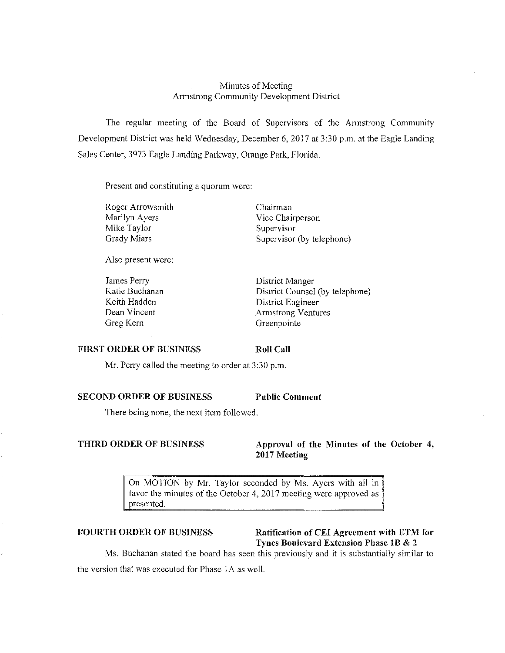## Minutes of Meeting Armstrong Community Development District

The regular meeting of the Board of Supervisors of the Armstrong Community Development District was held Wednesday, December 6, 2017 at 3:30 p.m. at the Eagle Landing Sales Center, 3973 Eagle Landing Parkway, Orange Park, Florida.

Present and constituting a quorum were:

Roger Arrowsmith Marilyn Ayers Mike Taylor Grady Miars

Also present were:

James Perry Katie Buchanan Keith Hadden Dean Vincent Greg Kern

Chairman Vice Chairperson Supervisor Supervisor (by telephone)

District Manger District Counsel (by telephone) District Engineer Armstrong Ventures Greenpointe

#### **FIRST ORDER OF BUSINESS**

Mr. Perry called the meeting to order at 3:30 p.m.

### **SECOND ORDER OF BUSINESS Public Comment**

There being none, the next item followed.

**Roll Call** 

**THIRD ORDER OF BUSINESS** Approval of the Minutes of the October 4, **2017 Meeting** 

> On MOTION by Mr. Taylor seconded by Ms. Ayers with all in favor the minutes of the October 4, 2017 meeting were approved as presented.

**FOURTH ORDER OF BUSINESS Ratification of CEI Agreement with ETM for Tynes Boulevard Extension Phase I B & 2** 

Ms. Buchanan stated the board has seen this previously and it is substantiaJly similar to the version that was executed for Phase !A as well.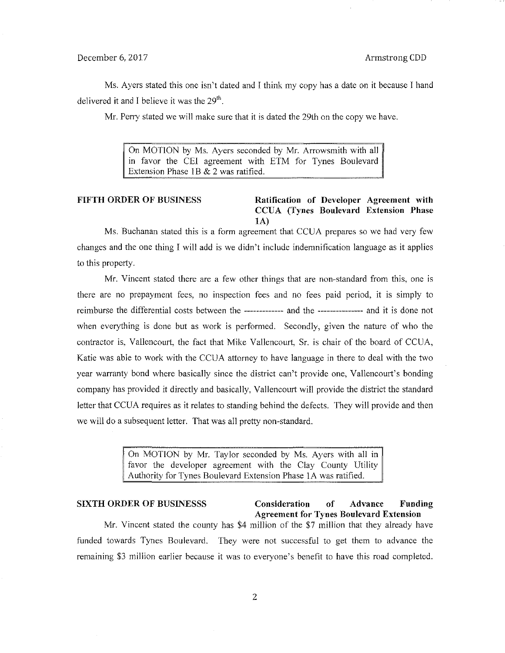### December 6, 2017 **Armstrong CDD**

Ms. Ayers stated this one isn't dated and I think my copy has a date on it because I hand delivered it and I believe it was the  $29<sup>th</sup>$ .

Mr. Perry stated we will make sure that it is dated the 29th on the copy we have.

On MOTION by Ms. Ayers seconded by Mr. Arrowsmith with all in favor the CEI agreement with ETM for Tynes Boulevard Extension Phase IB & 2 was ratified.

## **FIFTH ORDER OF BUSINESS Ratification of Developer Agreement with CCUA (Tynes Boulevard Extension Phase lA)**

Ms. Buchanan stated this is a form agreement that CCUA prepares so we had very few changes and the one thing I will add is we didn't include indemnification language as it applies to this property.

Mr. Vincent stated there are a few other things that are non-standard from this, one is there are no prepayment fees, no inspection fees and no fees paid period, it is simply to reimburse the differential costs between the ------------- and the --------------- and it is done not when everything is done but as work is performed. Secondly, given the nature of who the contractor is, Vallencourt, the fact that Mike Vallencourt, Sr. is chair of the board of CCUA, Katie was able to work with the CCUA attorney to have language in there to deal with the two year warranty bond where basically since the district can't provide one, Vallencourt's bonding company has provided it directly and basically, Vallencourt will provide the district the standard letter that CCUA requires as it relates to standing behind the defects. They will provide and then we will do a subsequent letter. That was all pretty non-standard.

> On MOTION by Mr. Taylor seconded by Ms. Ayers with all in favor the developer agreement with the Clay County Utility Authority for Tynes Boulevard Extension Phase IA was ratified.

### **SIXTH ORDER OF BUSINESSS Consideration of Advance Fonding Agreement for Tynes Boulevard Extension**

Mr. Vincent stated the county has \$4 million of the \$7 million that they already have funded towards Tynes Boulevard. They were not successful to get them to advance the remaining \$3 million earlier because it was to everyone's benefit to have this road completed.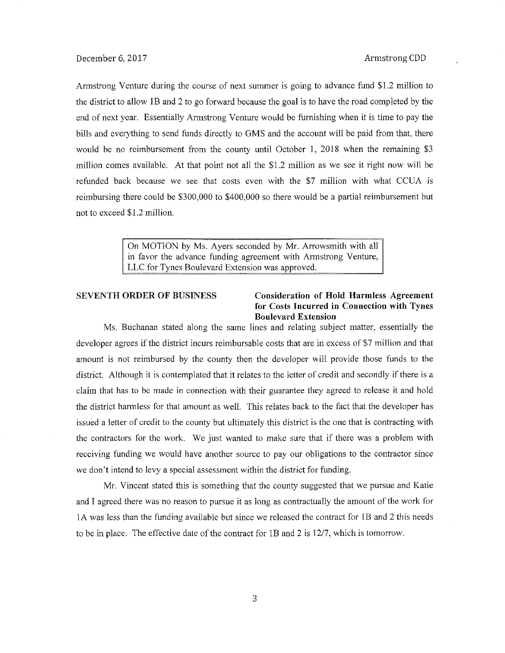Armstrong Venture during the course of next summer is going to advance fund \$1.2 million to the district to allow lB and 2 to go forward because the goal is to have the road completed by the end of next year. Essentially Armstrong Venture would be furnishing when it is time to pay the bills and everything to send funds directly to GMS and the account will be paid from that, there would be no reimbursement from the county until October 1, 2018 when the remaining \$3 million comes available. At that point not all the \$1.2 million as we see it right now will be refunded back because we see that costs even with the \$7 million with what CCUA is reimbursing there could be \$300,000 to \$400,000 so there would be a partial reimbursement but not to exceed \$1.2 million.

> On MOTION by Ms. Ayers seconded by Mr. Arrowsmith with all in favor the advance funding agreement with Armstrong Venture, LLC for Tynes Boulevard Extension was approved.

### SEVENTH ORDER OF BUSINESS Consideration of Hold Harmless Agreement for Costs Incurred in Connection with Tynes Boulevard Extension

Ms. Buchanan stated along the same lines and relating subject matter, essentially the developer agrees if the district incurs reimbursable costs that are in excess of \$7 million and that amount is not reimbursed by the county then the developer will provide those funds to the district. Although it is contemplated that it relates to the letter of credit and secondly if there is a claim that has to be made in connection with their guarantee they agreed to release it and hold the district hannless for that amount as well. This relates back to the fact that the developer has issued a letter of credit to the county but ultimately this district is the one that is contracting with the contractors for the work. We just wanted to make sure that if there was a problem with receiving funding we would have another source to pay our obligations to the contractor since we don't intend to levy a special assessment within the district for funding.

Mr. Vincent stated this is something that the county suggested that we pursue and Katie and I agreed there was no reason to pursue it as long as contractually the amount of the work for 1 A was less than the funding available but since we released the contract for lB and 2 this needs to be in place. The effective date of the contract for lB and 2 is 12/7, which is tomorrow.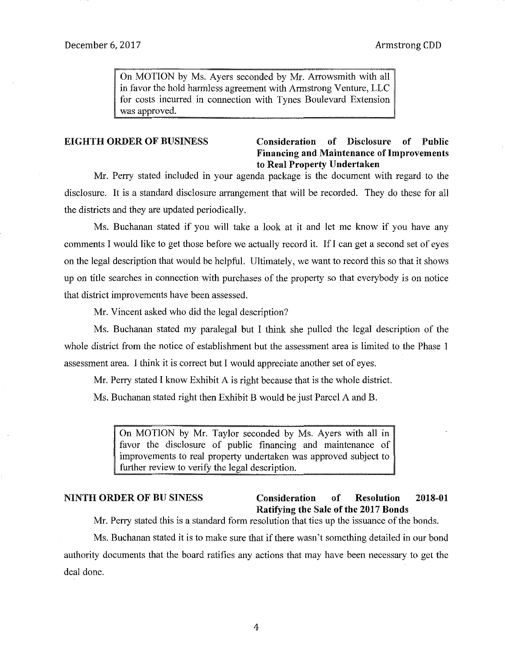On MOTION by Ms. Ayers seconded by Mr. Arrowsmith with all in favor the hold harmless agreement with Armstrong Venture, LLC for costs incurred in connection with Tynes Boulevard Extension was approved.

# EIGHTH ORDER OF BUSINESS Consideration of Disclosure of Public Financing and Maintenance of Improvements to Real Property Undertaken

Mr. Perry stated included in your agenda package is the document with regard to the disclosure. It is a standard disclosure arrangement that will be recorded. They do these for all the districts and they are updated periodically.

Ms. Buchanan stated if you will take a look at it and let me know if you have any comments I would like to get those before we actually record it. If I can get a second set of eyes on the legal description that would be helpful. Ultimately, we want to record this so that it shows up on title searches in connection with purchases of the property so that everybody is on notice that district improvements have been assessed.

Mr. Vincent asked who did the legal description?

Ms. Buchanan stated my paralegal but I think she pulled the legal description of the whole district from the notice of establishment but the assessment area is limited to the Phase I assessment area. I think it is correct but I would appreciate another set of eyes.

Mr. Perry stated I know Exhibit A is right because that is the whole district.

Ms. Buchanan stated right then Exhibit B would be just Parcel A and B.

On MOTION by Mr. Taylor seconded by Ms. Ayers with all in favor the disclosure of public financing and maintenance of improvements to real property undertaken was approved subject to further review to verify the legal description.

# NINTH ORDER OF BUSINESS Consideration of Resolution 2018-01 Ratifying the Sale of the 2017 Bonds

Mr. Perry stated this is a standard form resolution that ties up the issuance of the bonds.

Ms. Buchanan stated it is to make sure that if there wasn't something detailed in our bond authority documents that the board ratifies any actions that may have been necessary to get the deal done.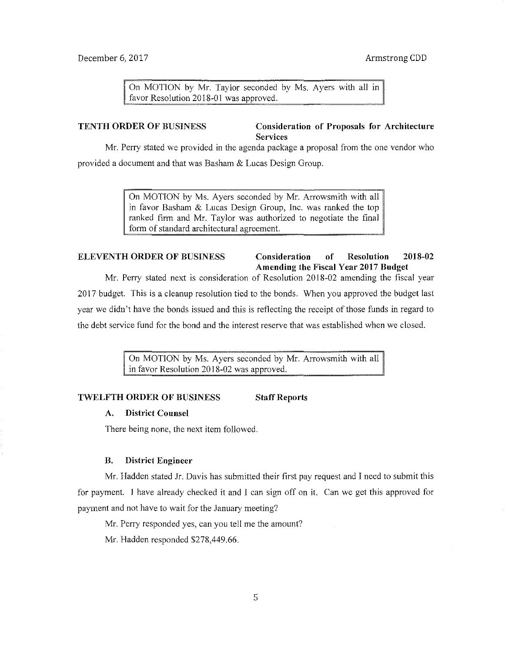On MOTION by Mr. Taylor seconded by Ms. Ayers with all in favor Resolution 2018-01 was approved.

## TENTH ORDER OF BUSINESS Consideration of Proposals for Architecture Services

Mr. Perry stated we provided in the agenda package a proposal from the one vendor who provided a document and that was Basham & Lucas Design Group.

> On MOTION by Ms. Ayers seconded by Mr. Arrowsmith with all in favor Basham & Lucas Design Group, Inc. was ranked the top ranked firm and Mr. Taylor was authorized to negotiate the final form of standard architectural agreement.

## ELEVENTH ORDER OF BUSINESS Consideration of Resolution 2018-02 Amending the Fiscal Year 2017 Budget

Mr. Perry stated next is consideration of Resolution 2018-02 amending the fiscal year 2017 budget. This is a cleanup resolution tied to the bonds. When you approved the budget last year we didn't have the bonds issued and this is reflecting the receipt of those funds in regard to the debt service fund for the bond and the interest reserve that was established when we closed.

> On MOTION by Ms. Ayers seconded by Mr. Arrowsmith with all in favor Resolution 2018-02 was approved.

## TWELFTH ORDER OF BUSINESS Staff Reports

#### A. District Counsel

There being none, the next item followed.

## B. District Engineer

Mr. Hadden stated Jr. Davis has submitted their first pay request and I need to submit this for payment. I have already checked it and I can sign off on it. Can we get this approved for payment and not have to wait for the January meeting?

Mr. Perry responded yes, can you tell me the amount?

Mr. Hadden responded \$278,449.66.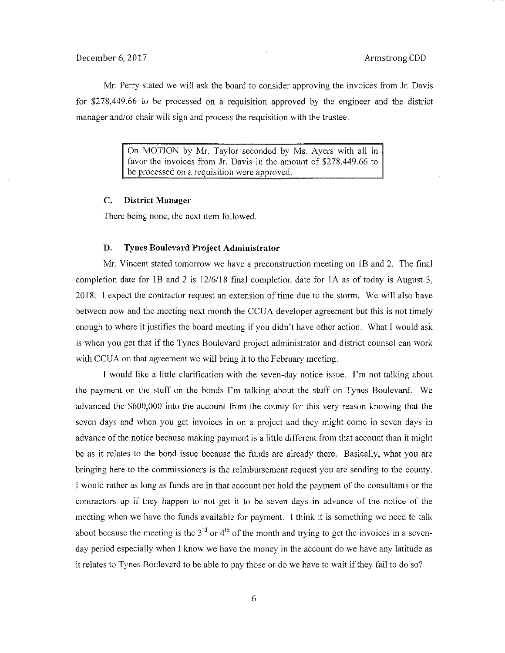Mr. Perry stated we will ask the board to consider approving the invoices from Jr. Davis for \$278,449.66 to be processed on a requisition approved by the engineer and the district manager and/or chair will sign and process the requisition with the trustee.

> On MOTION by Mr. Taylor seconded by Ms. Ayers with all in favor the invoices from Jr. Davis in the amount of \$278,449.66 to be processed on a requisition were approved.

#### **C. District Manager**

There being none, the next item followed.

#### **D. Tynes Boulevard Project Administrator**

Mr. Vincent stated tomorrow we have a preconstruction meeting on JB and 2. The final completion date for 1B and 2 is  $12/6/18$  final completion date for 1A as of today is August 3, 2018. I expect the contractor request an extension of time due to the storm. We will also have between now and the meeting next month the CCUA developer agreement but this is not timely enough to where it justifies the board meeting if you didn't have other action. What I would ask is when you get that if the Tynes Boulevard project administrator and district counsel can work with CCUA on that agreement we will bring it to the February meeting.

**J** would like a little clarification with the seven-day notice issue. I'm not talking about the payment on the stuff on the bonds I'm talking about the stuff on Tynes Boulevard. We advanced the \$600,000 into the account from the county for this very reason knowing that the seven days and when you get invoices in on a project and they might come *in* seven days in advance of the notice because making payment is a little different from that account than it might be as it relates to the bond issue because the funds are already there. Basically, what you are bringing here to the commissioners is the reimbursement request you are sending to the county. I would rather as long as funds are *in* that account not hold the payment of the consultants or the contractors up if they happen to not get it to be seven days *in* advance of the notice of the meeting when we have the funds available for payment. I think it is something we need to talk about because the meeting is the  $3<sup>rd</sup>$  or  $4<sup>th</sup>$  of the month and trying to get the invoices in a sevenday period especially when I know we have the money in the account do we have any latitude as it relates to Tynes Boulevard to be able to pay those or do we have to wait if they fail to do so?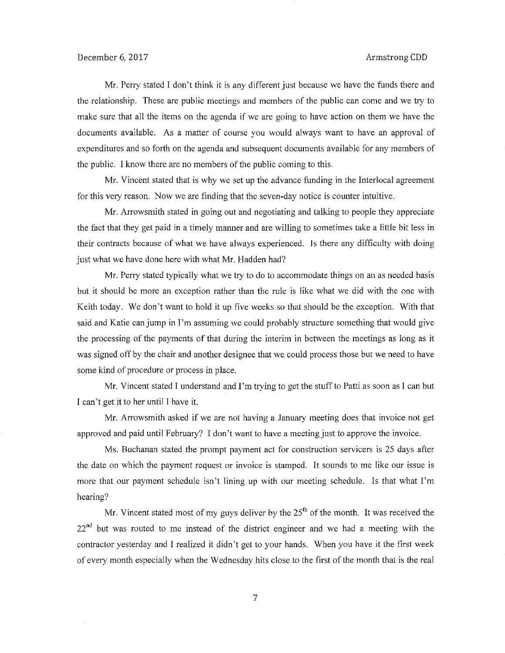Mr. Perry stated I don't think it is any different just because we have the funds there and the relationship. These are public meetings and members of the public can come and we try to make sure that all the items on the agenda if we are going to have action on them we have the documents available. As a matter of course you would always want to have an approval of expenditures and so forth on the agenda and subsequent documents available for any members of the public. I know there are no members of the public coming to this.

Mr. Vincent stated that is why we set up the advance funding in the Interlocal agreement for this very reason. Now we are finding that the seven-day notice is counter intuitive.

Mr. Arrowsmith stated in going out and negotiating and talking to people they appreciate the fact that they get paid in a timely manner and are willing to sometimes take a little bit less in their contracts because of what we have always experienced. ls there any difficulty with doing just what we have done here with what Mr. Hadden had?

Mr. Perry stated typically what we try to do to accommodate things on an as needed basis but it should be more an exception rather than the rule is like what we did with the one with Keith today. We don't want to hold it up five weeks so that should be the exception. With that said and Katie can jump in I'm assuming we could probably structure something that would give the processing of the payments of that during the interim in between the meetings as long as it was signed off by the chair and another designee that we could process those but we need to have some kind of procedure or process in place.

Mr. Vincent stated I understand and I'm trying to get the stuff to Patti as soon as I can but I can't get it to her until I have it.

Mr. Arrowsmith asked if we are not having a January meeting does that invoice not get approved and paid until February? I don't want to have a meeting just to approve the invoice.

Ms. Buchanan stated the prompt payment act for construction servicers is 25 days after the date on which the payment request or invoice is stamped. It sounds to me like our issue is more that our payment schedule isn't lining up with our meeting schedule. Is that what I'm hearing?

Mr. Vincent stated most of my guys deliver by the  $25<sup>th</sup>$  of the month. It was received the 22<sup>nd</sup> but was routed to me instead of the district engineer and we had a meeting with the contractor yesterday and I realized it didn't get to your hands. When you have it the first week of every month especially when the Wednesday hits close to the first of the month that is the real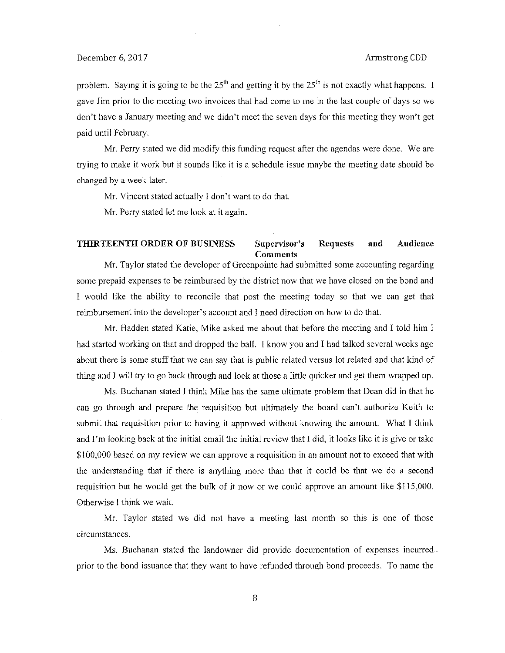problem. Saying it is going to be the  $25<sup>th</sup>$  and getting it by the  $25<sup>th</sup>$  is not exactly what happens. I gave Jim prior to the meeting two invoices that had come to me in the last couple of days so we don't have a January meeting and we didn't meet the seven days for this meeting they won't get paid until February.

Mr. Perry stated we did modify this funding request after the agendas were done. We are trying to make it work but it sounds like it is a schedule issue maybe the meeting date should be changed by a week later.

Mr. Vincent stated actually I don't want to do that.

Mr. Perry stated let me look at it again.

### **THIRTEENTH ORDER OF BUSINESS Supervisor's Requests and Audience Comments**

Mr. Taylor stated the developer of Greenpointe had submitted some accounting regarding some prepaid expenses to be reimbursed by the district now that we have closed on the bond and I would like the ability to reconcile that post the meeting today so that we can get that reimbursement into the developer's account and I need direction on how to do that.

Mr. Hadden stated Katie, Mike asked me about that before the meeting and I told him I had started working on that and dropped the ball. I know you and I had talked several weeks ago about there is some stuff that we can say that is public related versus lot related and that kind of thing and 1 will try to go back through and look at those a little quicker and get them wrapped up.

Ms. Buchanan stated I think Mike has the same ultimate problem that Dean did in that he can go through and prepare the requisition but ultimately the board can't authorize Keith to submit that requisition prior to having it approved without knowing the amount. What I think and I'm looking back at the initial email the initial review that I did, it looks like it is give or take \$100,000 based on my review we can approve a requisition in an amount not to exceed that with the understanding that if there is anything more than that it could be that we do a second requisition but he would get the bulk of it now or we could approve an amount like \$115,000. Otherwise I think we wait.

Mr. Taylor stated we did not have a meeting last month so this is one of those circumstances.

Ms. Buchanan stated the landowner did provide documentation of expenses incurred prior to the bond issuance that they want to have refunded through bond proceeds. To name the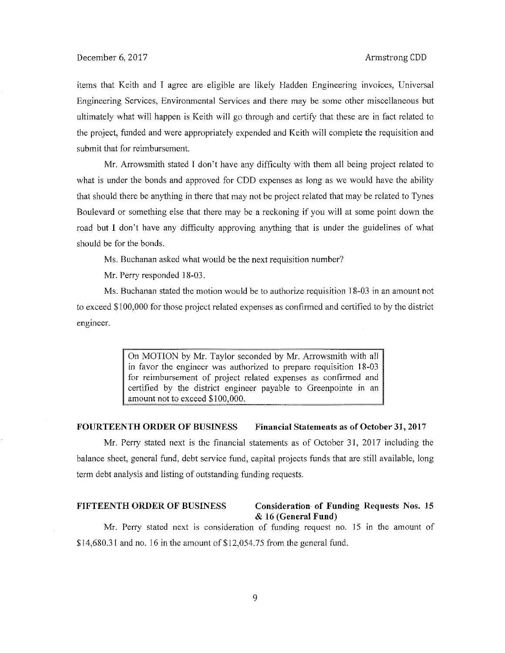items that Keith and I agree are eligible are likely Hadden Engineering invoices, Universal Engineering Services, Environmental Services and there may be some other miscellaneous but ultimately what will happen is Keith will go through and certify that these are in fact related to the project, funded and were appropriately expended and Keith will complete the requisition and submit that for reimbursement.

Mr. Arrowsmith stated I don't have any difficulty with them all being project related to what is under the bonds and approved for CDD expenses as long as we would have the ability that should there be anything in there that may not be project related that may be related to Tynes Boulevard or something else that there may be a reckoning if you will at some point down the road but I don't have any difficulty approving anything that is under the guidelines of what should be for the bonds.

Ms. Buchanan asked what would be the next requisition number?

Mr. Perry responded 18-03.

Ms. Buchanan stated the motion would be to authorize requisition 18-03 in an amount not to exceed \$100,000 for those project related expenses as confinned and certified to by the district engineer.

> On MOTION by Mr. Taylor seconded by Mr. Arrowsmith with all in favor the engineer was authorized to prepare requisition 18-03 for reimbursement of project related expenses as confirmed and certified by the district engineer payable to Greenpointe in an amount not to exceed \$100,000.

## **FOURTEENTH ORDER OF** BUSINESS **Financial Statements as of October** 31, **2017**

Mr. Perry stated next is the financial statements as of October 31, 2017 including the balance sheet, general fund, debt service fund, capital projects funds that are still available, long term debt analysis and listing of outstanding funding requests.

### **FIFTEENTH ORDER OF** BUSINESS **Consideration- of Funding Requests** Nos. **15**  & **16 (General Fund)**

Mr. Perry stated next is consideration of funding request no. 15 in the amount of  $$14,680.31$  and no. 16 in the amount of  $$12,054.75$  from the general fund.